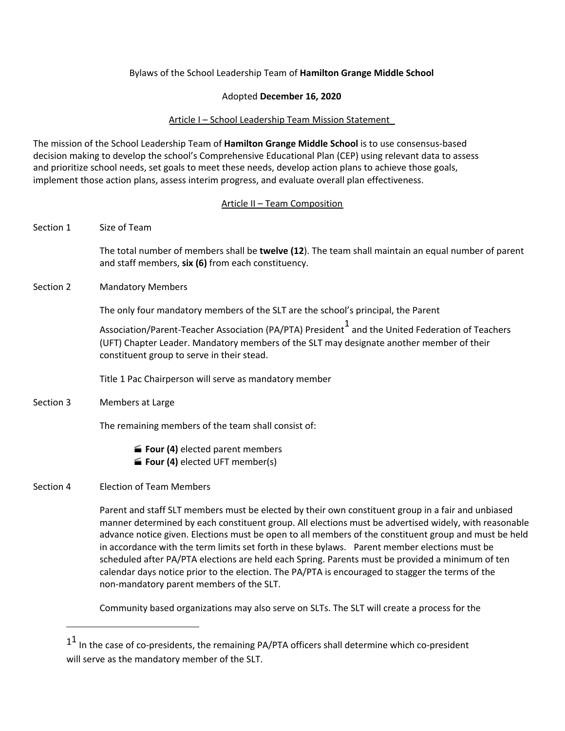# Bylaws of the School Leadership Team of **Hamilton Grange Middle School**

## Adopted **December 16, 2020**

## Article I – School Leadership Team Mission Statement

The mission of the School Leadership Team of **Hamilton Grange Middle School** is to use consensus-based decision making to develop the school's Comprehensive Educational Plan (CEP) using relevant data to assess and prioritize school needs, set goals to meet these needs, develop action plans to achieve those goals, implement those action plans, assess interim progress, and evaluate overall plan effectiveness.

## Article II – Team Composition

| Section 1 | Size of Team                                                                                                                                                                                                                                                                                                                                                                                                          |
|-----------|-----------------------------------------------------------------------------------------------------------------------------------------------------------------------------------------------------------------------------------------------------------------------------------------------------------------------------------------------------------------------------------------------------------------------|
|           | The total number of members shall be twelve (12). The team shall maintain an equal number of parent<br>and staff members, six (6) from each constituency.                                                                                                                                                                                                                                                             |
| Section 2 | <b>Mandatory Members</b>                                                                                                                                                                                                                                                                                                                                                                                              |
|           | The only four mandatory members of the SLT are the school's principal, the Parent                                                                                                                                                                                                                                                                                                                                     |
|           | Association/Parent-Teacher Association (PA/PTA) President 1 and the United Federation of Teachers<br>(UFT) Chapter Leader. Mandatory members of the SLT may designate another member of their<br>constituent group to serve in their stead.                                                                                                                                                                           |
|           | Title 1 Pac Chairperson will serve as mandatory member                                                                                                                                                                                                                                                                                                                                                                |
| Section 3 | Members at Large                                                                                                                                                                                                                                                                                                                                                                                                      |
|           | The remaining members of the team shall consist of:                                                                                                                                                                                                                                                                                                                                                                   |
|           | <b>Four (4)</b> elected parent members<br><b>Four (4)</b> elected UFT member(s)                                                                                                                                                                                                                                                                                                                                       |
| Section 4 | <b>Election of Team Members</b>                                                                                                                                                                                                                                                                                                                                                                                       |
|           | Parent and staff SLT members must be elected by their own constituent group in a fair and unbiased<br>manner determined by each constituent group. All elections must be advertised widely, with reasonable<br>advance notice given. Elections must be open to all members of the constituent group and must be held<br>in accordance with the term limits set forth in these bylaws. Parent member elections must be |

in accordance with the term limits set forth in these bylaws. Parent member elections must be scheduled after PA/PTA elections are held each Spring. Parents must be provided a minimum of ten calendar days notice prior to the election. The PA/PTA is encouraged to stagger the terms of the non-mandatory parent members of the SLT.

Community based organizations may also serve on SLTs. The SLT will create a process for the

<u> 1990 - Johann Barbara, martin a</u>

 $^{11}$  In the case of co-presidents, the remaining PA/PTA officers shall determine which co-president will serve as the mandatory member of the SLT.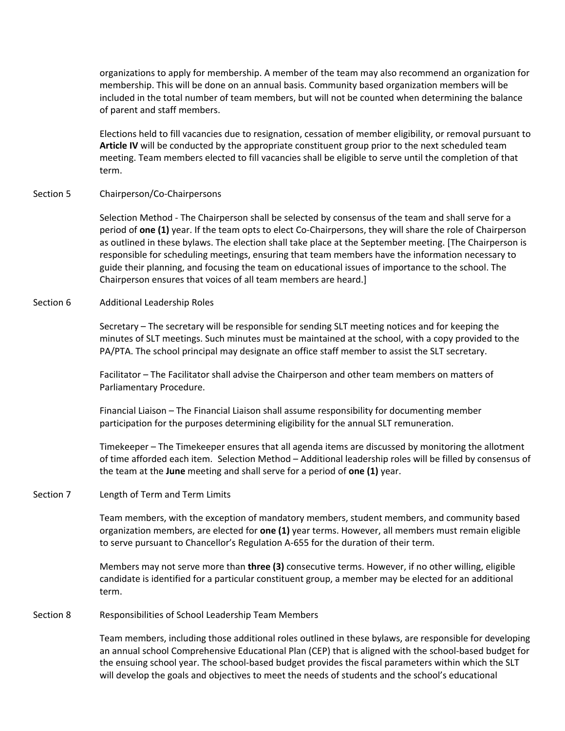organizations to apply for membership. A member of the team may also recommend an organization for membership. This will be done on an annual basis. Community based organization members will be included in the total number of team members, but will not be counted when determining the balance of parent and staff members.

Elections held to fill vacancies due to resignation, cessation of member eligibility, or removal pursuant to **Article IV** will be conducted by the appropriate constituent group prior to the next scheduled team meeting. Team members elected to fill vacancies shall be eligible to serve until the completion of that term.

Section 5 Chairperson/Co-Chairpersons

Selection Method - The Chairperson shall be selected by consensus of the team and shall serve for a period of **one (1)** year. If the team opts to elect Co-Chairpersons, they will share the role of Chairperson as outlined in these bylaws. The election shall take place at the September meeting. [The Chairperson is responsible for scheduling meetings, ensuring that team members have the information necessary to guide their planning, and focusing the team on educational issues of importance to the school. The Chairperson ensures that voices of all team members are heard.]

### Section 6 Additional Leadership Roles

Secretary – The secretary will be responsible for sending SLT meeting notices and for keeping the minutes of SLT meetings. Such minutes must be maintained at the school, with a copy provided to the PA/PTA. The school principal may designate an office staff member to assist the SLT secretary.

Facilitator – The Facilitator shall advise the Chairperson and other team members on matters of Parliamentary Procedure.

Financial Liaison – The Financial Liaison shall assume responsibility for documenting member participation for the purposes determining eligibility for the annual SLT remuneration.

Timekeeper – The Timekeeper ensures that all agenda items are discussed by monitoring the allotment of time afforded each item. Selection Method – Additional leadership roles will be filled by consensus of the team at the **June** meeting and shall serve for a period of **one (1)** year.

#### Section 7 Length of Term and Term Limits

Team members, with the exception of mandatory members, student members, and community based organization members, are elected for **one (1)** year terms. However, all members must remain eligible to serve pursuant to Chancellor's Regulation A-655 for the duration of their term.

Members may not serve more than **three (3)** consecutive terms. However, if no other willing, eligible candidate is identified for a particular constituent group, a member may be elected for an additional term.

#### Section 8 Responsibilities of School Leadership Team Members

Team members, including those additional roles outlined in these bylaws, are responsible for developing an annual school Comprehensive Educational Plan (CEP) that is aligned with the school-based budget for the ensuing school year. The school-based budget provides the fiscal parameters within which the SLT will develop the goals and objectives to meet the needs of students and the school's educational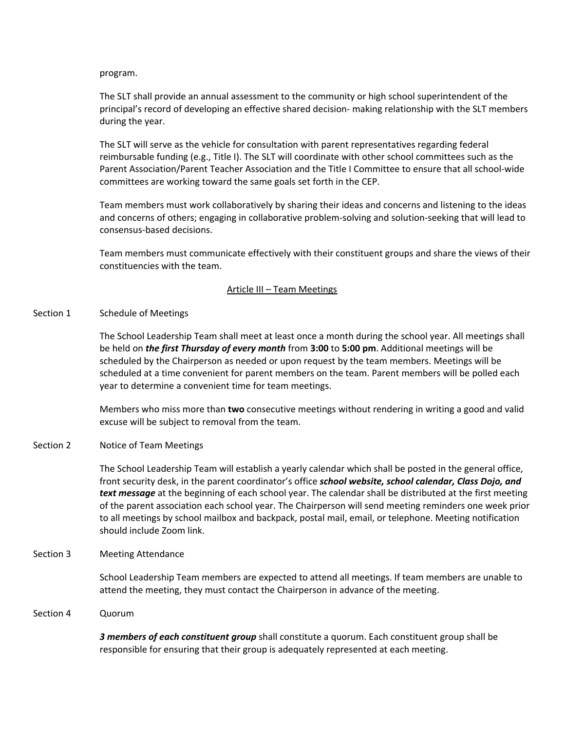program.

The SLT shall provide an annual assessment to the community or high school superintendent of the principal's record of developing an effective shared decision- making relationship with the SLT members during the year.

The SLT will serve as the vehicle for consultation with parent representatives regarding federal reimbursable funding (e.g., Title I). The SLT will coordinate with other school committees such as the Parent Association/Parent Teacher Association and the Title I Committee to ensure that all school-wide committees are working toward the same goals set forth in the CEP.

Team members must work collaboratively by sharing their ideas and concerns and listening to the ideas and concerns of others; engaging in collaborative problem-solving and solution-seeking that will lead to consensus-based decisions.

Team members must communicate effectively with their constituent groups and share the views of their constituencies with the team.

## Article III – Team Meetings

## Section 1 Schedule of Meetings

The School Leadership Team shall meet at least once a month during the school year. All meetings shall be held on *the first Thursday of every month* from **3:00** to **5:00 pm**. Additional meetings will be scheduled by the Chairperson as needed or upon request by the team members. Meetings will be scheduled at a time convenient for parent members on the team. Parent members will be polled each year to determine a convenient time for team meetings.

Members who miss more than **two** consecutive meetings without rendering in writing a good and valid excuse will be subject to removal from the team.

## Section 2 Notice of Team Meetings

The School Leadership Team will establish a yearly calendar which shall be posted in the general office, front security desk, in the parent coordinator's office *school website, school calendar, Class Dojo, and text message* at the beginning of each school year. The calendar shall be distributed at the first meeting of the parent association each school year. The Chairperson will send meeting reminders one week prior to all meetings by school mailbox and backpack, postal mail, email, or telephone. Meeting notification should include Zoom link.

## Section 3 Meeting Attendance

School Leadership Team members are expected to attend all meetings. If team members are unable to attend the meeting, they must contact the Chairperson in advance of the meeting.

#### Section 4 Quorum

*3 members of each constituent group* shall constitute a quorum. Each constituent group shall be responsible for ensuring that their group is adequately represented at each meeting.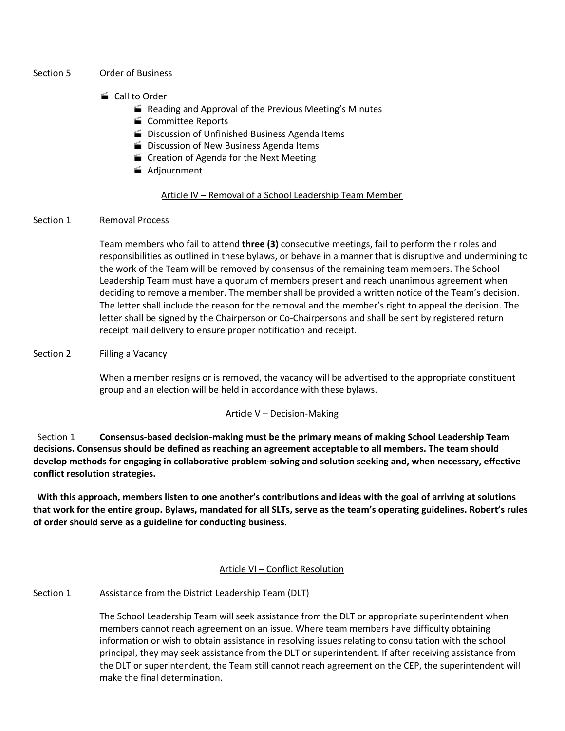### Section 5 Order of Business

# ■ Call to Order

- Reading and Approval of the Previous Meeting's Minutes
- Committee Reports
- Discussion of Unfinished Business Agenda Items
- **Discussion of New Business Agenda Items**
- Creation of Agenda for the Next Meeting
- Adjournment

# Article IV – Removal of a School Leadership Team Member

## Section 1 Removal Process

Team members who fail to attend **three (3)** consecutive meetings, fail to perform their roles and responsibilities as outlined in these bylaws, or behave in a manner that is disruptive and undermining to the work of the Team will be removed by consensus of the remaining team members. The School Leadership Team must have a quorum of members present and reach unanimous agreement when deciding to remove a member. The member shall be provided a written notice of the Team's decision. The letter shall include the reason for the removal and the member's right to appeal the decision. The letter shall be signed by the Chairperson or Co-Chairpersons and shall be sent by registered return receipt mail delivery to ensure proper notification and receipt.

## Section 2 Filling a Vacancy

When a member resigns or is removed, the vacancy will be advertised to the appropriate constituent group and an election will be held in accordance with these bylaws.

## Article V – Decision-Making

Section 1 **Consensus-based decision-making must be the primary means of making School Leadership Team decisions. Consensus should be defined as reaching an agreement acceptable to all members. The team should develop methods for engaging in collaborative problem-solving and solution seeking and, when necessary, effective conflict resolution strategies.**

With this approach, members listen to one another's contributions and ideas with the goal of arriving at solutions that work for the entire group. Bylaws, mandated for all SLTs, serve as the team's operating guidelines. Robert's rules **of order should serve as a guideline for conducting business.**

## Article VI – Conflict Resolution

## Section 1 Assistance from the District Leadership Team (DLT)

The School Leadership Team will seek assistance from the DLT or appropriate superintendent when members cannot reach agreement on an issue. Where team members have difficulty obtaining information or wish to obtain assistance in resolving issues relating to consultation with the school principal, they may seek assistance from the DLT or superintendent. If after receiving assistance from the DLT or superintendent, the Team still cannot reach agreement on the CEP, the superintendent will make the final determination.